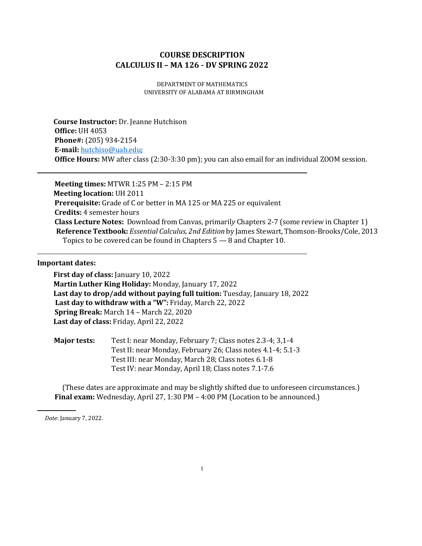# **COURSE DESCRIPTION CALCULUS II – MA 126 - DV SPRING 2022**

DEPARTMENT OF MATHEMATICS UNIVERSITY OF ALABAMA AT BIRMINGHAM

**Course Instructor:** Dr. Jeanne Hutchison **Office:** UH 4053 **Phone#:** (205) 934-2154 **E-mail:** [hutchiso@uab.edu;](mailto:hutchiso@uab.edu) **Office Hours:** MW after class (2:30-3:30 pm); you can also email for an individual ZOOM session.

**Meeting times:** MTWR 1:25 PM – 2:15 PM **Meeting location:** UH 2011 **Prerequisite:** Grade of C or better in MA 125 or MA 225 or equivalent **Credits:** 4 semester hours **Class Lecture Notes:** Download from Canvas, primaril*y* Chapters 2-7 (some review in Chapter 1) **Reference Textbook:** *Essential Calculus, 2nd Edition* by James Stewart, Thomson-Brooks/Cole, 2013 Topics to be covered can be found in Chapters 5 — 8 and Chapter 10.

## **Important dates:**

**First day of class:** January 10, 2022 **Martin Luther King Holiday:** Monday, January 17, 2022 **Last day to drop/add without paying full tuition:** Tuesday, January 18, 2022 **Last day to withdraw with a "W":** Friday, March 22, 2022 **Spring Break:** March 14 – March 22, 2020 **Last day of class:** Friday, April 22, 2022

| <b>Major tests:</b> | Test I: near Monday, February 7; Class notes 2.3-4; 3.1-4   |  |  |  |
|---------------------|-------------------------------------------------------------|--|--|--|
|                     | Test II: near Monday, February 26; Class notes 4.1-4; 5.1-3 |  |  |  |
|                     | Test III: near Monday, March 28; Class notes 6.1-8          |  |  |  |
|                     | Test IV: near Monday, April 18; Class notes 7.1-7.6         |  |  |  |

(These dates are approximate and may be slightly shifted due to unforeseen circumstances.) **Final exam:** Wednesday, April 27, 1:30 PM – 4:00 PM (Location to be announced.)

*Date*: January 7, 2022.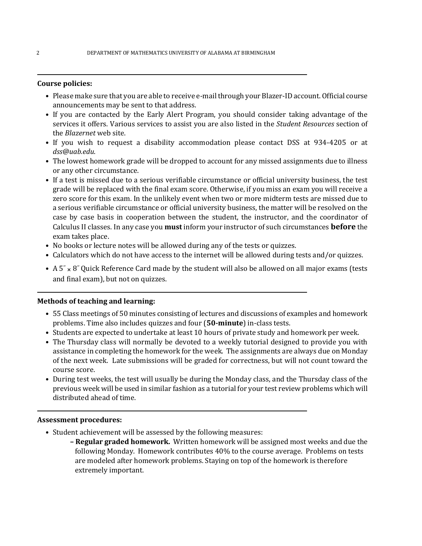## **Course policies:**

- Please make sure that you are able to receive e-mail through your Blazer-ID account. Official course announcements may be sent to that address.
- If you are contacted by the Early Alert Program, you should consider taking advantage of the services it offers. Various services to assist you are also listed in the *Student Resources* section of the *Blazernet* web site.
- If you wish to request a disability accommodation please contact DSS at 934-4205 or at *dss@uab.edu*.
- The lowest homework grade will be dropped to account for any missed assignments due to illness or any other circumstance.
- If a test is missed due to a serious verifiable circumstance or official university business, the test grade will be replaced with the final exam score. Otherwise, if you miss an exam you will receive a zero score for this exam. In the unlikely event when two or more midterm tests are missed due to a serious verifiable circumstance or official university business, the matter will be resolved on the case by case basis in cooperation between the student, the instructor, and the coordinator of Calculus II classes. In any case you **must** inform your instructor of such circumstances **before** the exam takes place.
- No books or lecture notes will be allowed during any of the tests or quizzes.
- Calculators which do not have access to the internet will be allowed during tests and/or quizzes.
- A  $5'' \times 8''$  Quick Reference Card made by the student will also be allowed on all major exams (tests and final exam), but not on quizzes.

# **Methods of teaching and learning:**

- 55 Class meetings of 50 minutes consisting of lectures and discussions of examples and homework problems. Time also includes quizzes and four (**50-minute**) in-class tests.
- Students are expected to undertake at least 10 hours of private study and homework per week.
- The Thursday class will normally be devoted to a weekly tutorial designed to provide you with assistance in completing the homework for the week. The assignments are always due on Monday of the next week. Late submissions will be graded for correctness, but will not count toward the course score.
- During test weeks, the test will usually be during the Monday class, and the Thursday class of the previous week will be used in similar fashion as a tutorial for your test review problems which will distributed ahead of time.

#### **Assessment procedures:**

- Student achievement will be assessed by the following measures:
	- **– Regular graded homework.** Written homework will be assigned most weeks and due the following Monday. Homework contributes 40% to the course average. Problems on tests are modeled after homework problems. Staying on top of the homework is therefore extremely important.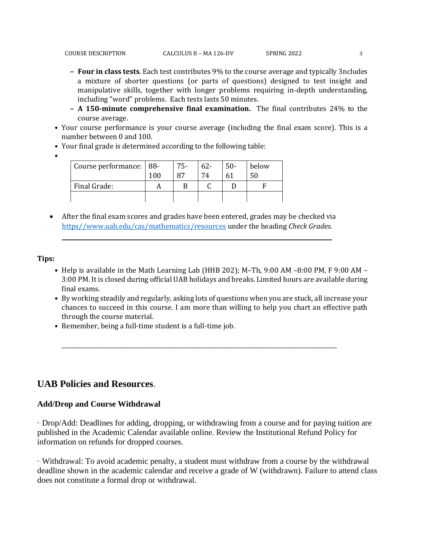- **– A 150-minute comprehensive final examination.** The final contributes 24% to the course average.
- Your course performance is your course average (including the final exam score). This is a number between 0 and 100.
- Your final grade is determined according to the following table:
- •

| Course performance:   88- |     | $75-$ | $62 -$ | $50 -$ | below |
|---------------------------|-----|-------|--------|--------|-------|
|                           | 100 | 87    | 74     |        |       |
| Final Grade:              |     |       |        |        |       |
|                           |     |       |        |        |       |

• After the final exam scores and grades have been entered, grades may be checked via [https//www.uab.edu/cas/mathematics/resources](https://www.uab.edu/cas/mathematics/resources) under the heading *Check Grades.*

# **Tips:**

- Help is available in the Math Learning Lab (HHB 202); M–Th, 9:00 AM –8:00 PM, F 9:00 AM 3:00 PM. It is closed during official UAB holidays and breaks. Limited hours are available during final exams.
- By working steadily and regularly, asking lots of questions when you are stuck, all increase your chances to succeed in this course. I am more than willing to help you chart an effective path through the course material.

\_\_\_\_\_\_\_\_\_\_\_\_\_\_\_\_\_\_\_\_\_\_\_\_\_\_\_\_\_\_\_\_\_\_\_\_\_\_\_\_\_\_\_\_\_\_\_\_\_\_\_\_\_\_\_\_\_\_\_\_\_\_\_\_\_\_\_\_\_\_\_\_\_\_\_\_\_\_\_\_\_\_\_\_\_\_\_\_\_\_\_\_\_\_\_\_\_\_

• Remember, being a full-time student is a full-time job.

# **UAB Policies and Resources**.

# **Add/Drop and Course Withdrawal**

· Drop/Add: Deadlines for adding, dropping, or withdrawing from a course and for paying tuition are published in the Academic Calendar available online. Review the Institutional Refund Policy for information on refunds for dropped courses.

· Withdrawal: To avoid academic penalty, a student must withdraw from a course by the withdrawal deadline shown in the academic calendar and receive a grade of W (withdrawn). Failure to attend class does not constitute a formal drop or withdrawal.